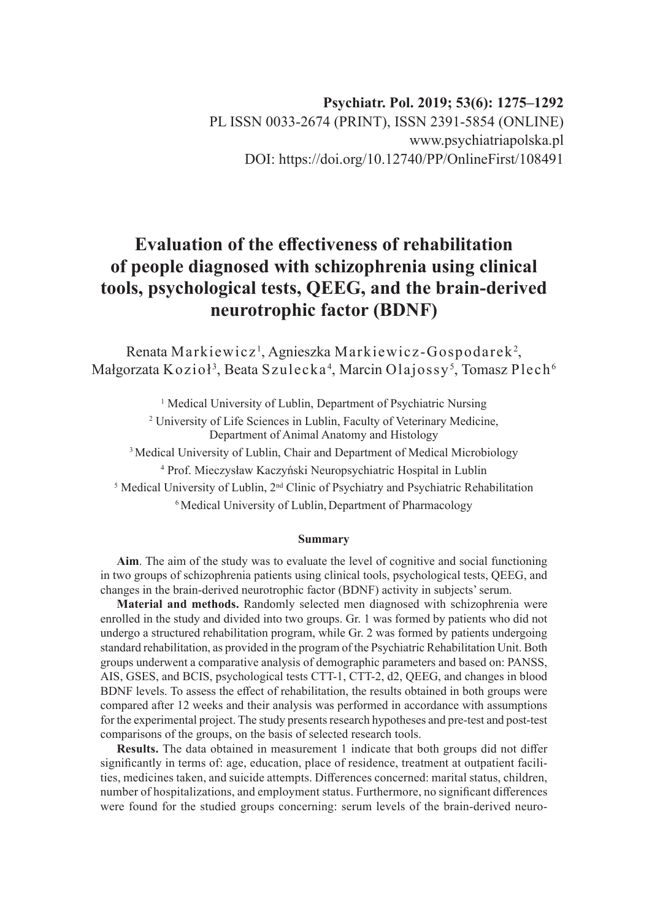# **Evaluation of the effectiveness of rehabilitation of people diagnosed with schizophrenia using clinical tools, psychological tests, QEEG, and the brain-derived neurotrophic factor (BDNF)**

Renata Markiewicz<sup>1</sup>, Agnieszka Markiewicz-Gospodarek<sup>2</sup>, Małgorzata Kozioł $^3$ , Beata Szulecka $^4$ , Marcin Olajossy $^5$ , Tomasz Plech $^6$ 

<sup>1</sup> Medical University of Lublin, Department of Psychiatric Nursing

<sup>2</sup> University of Life Sciences in Lublin, Faculty of Veterinary Medicine, Department of Animal Anatomy and Histology

<sup>3</sup> Medical University of Lublin, Chair and Department of Medical Microbiology

4 Prof. Mieczysław Kaczyński Neuropsychiatric Hospital in Lublin

<sup>5</sup> Medical University of Lublin, 2<sup>nd</sup> Clinic of Psychiatry and Psychiatric Rehabilitation

<sup>6</sup> Medical University of Lublin, Department of Pharmacology

#### **Summary**

**Aim**. The aim of the study was to evaluate the level of cognitive and social functioning in two groups of schizophrenia patients using clinical tools, psychological tests, QEEG, and changes in the brain-derived neurotrophic factor (BDNF) activity in subjects' serum.

**Material and methods.** Randomly selected men diagnosed with schizophrenia were enrolled in the study and divided into two groups. Gr. 1 was formed by patients who did not undergo a structured rehabilitation program, while Gr. 2 was formed by patients undergoing standard rehabilitation, as provided in the program of the Psychiatric Rehabilitation Unit. Both groups underwent a comparative analysis of demographic parameters and based on: PANSS, AIS, GSES, and BCIS, psychological tests CTT-1, CTT-2, d2, QEEG, and changes in blood BDNF levels. To assess the effect of rehabilitation, the results obtained in both groups were compared after 12 weeks and their analysis was performed in accordance with assumptions for the experimental project. The study presents research hypotheses and pre-test and post-test comparisons of the groups, on the basis of selected research tools.

**Results.** The data obtained in measurement 1 indicate that both groups did not differ significantly in terms of: age, education, place of residence, treatment at outpatient facilities, medicines taken, and suicide attempts. Differences concerned: marital status, children, number of hospitalizations, and employment status. Furthermore, no significant differences were found for the studied groups concerning: serum levels of the brain-derived neuro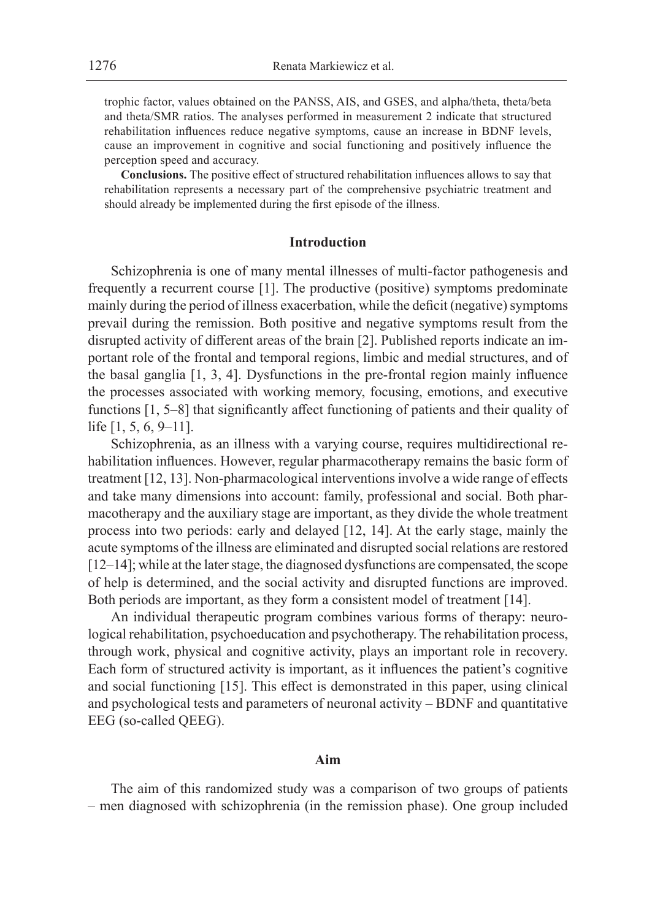trophic factor, values obtained on the PANSS, AIS, and GSES, and alpha/theta, theta/beta and theta/SMR ratios. The analyses performed in measurement 2 indicate that structured rehabilitation influences reduce negative symptoms, cause an increase in BDNF levels, cause an improvement in cognitive and social functioning and positively influence the perception speed and accuracy.

**Conclusions.** The positive effect of structured rehabilitation influences allows to say that rehabilitation represents a necessary part of the comprehensive psychiatric treatment and should already be implemented during the first episode of the illness.

# **Introduction**

Schizophrenia is one of many mental illnesses of multi-factor pathogenesis and frequently a recurrent course [1]. The productive (positive) symptoms predominate mainly during the period of illness exacerbation, while the deficit (negative) symptoms prevail during the remission. Both positive and negative symptoms result from the disrupted activity of different areas of the brain [2]. Published reports indicate an important role of the frontal and temporal regions, limbic and medial structures, and of the basal ganglia [1, 3, 4]. Dysfunctions in the pre-frontal region mainly influence the processes associated with working memory, focusing, emotions, and executive functions [1, 5–8] that significantly affect functioning of patients and their quality of life [1, 5, 6, 9–11].

Schizophrenia, as an illness with a varying course, requires multidirectional rehabilitation influences. However, regular pharmacotherapy remains the basic form of treatment [12, 13]. Non-pharmacological interventions involve a wide range of effects and take many dimensions into account: family, professional and social. Both pharmacotherapy and the auxiliary stage are important, as they divide the whole treatment process into two periods: early and delayed [12, 14]. At the early stage, mainly the acute symptoms of the illness are eliminated and disrupted social relations are restored [12–14]; while at the later stage, the diagnosed dysfunctions are compensated, the scope of help is determined, and the social activity and disrupted functions are improved. Both periods are important, as they form a consistent model of treatment [14].

An individual therapeutic program combines various forms of therapy: neurological rehabilitation, psychoeducation and psychotherapy. The rehabilitation process, through work, physical and cognitive activity, plays an important role in recovery. Each form of structured activity is important, as it influences the patient's cognitive and social functioning [15]. This effect is demonstrated in this paper, using clinical and psychological tests and parameters of neuronal activity – BDNF and quantitative EEG (so-called QEEG).

## **Aim**

The aim of this randomized study was a comparison of two groups of patients – men diagnosed with schizophrenia (in the remission phase). One group included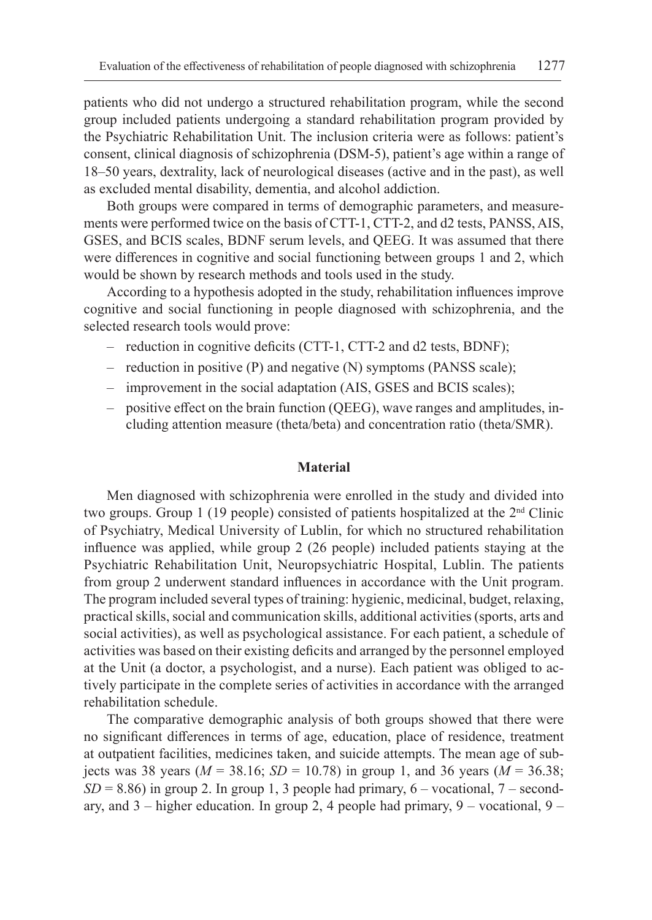patients who did not undergo a structured rehabilitation program, while the second group included patients undergoing a standard rehabilitation program provided by the Psychiatric Rehabilitation Unit. The inclusion criteria were as follows: patient's consent, clinical diagnosis of schizophrenia (DSM-5), patient's age within a range of 18–50 years, dextrality, lack of neurological diseases (active and in the past), as well as excluded mental disability, dementia, and alcohol addiction.

Both groups were compared in terms of demographic parameters, and measurements were performed twice on the basis of CTT-1, CTT-2, and d2 tests, PANSS, AIS, GSES, and BCIS scales, BDNF serum levels, and QEEG. It was assumed that there were differences in cognitive and social functioning between groups 1 and 2, which would be shown by research methods and tools used in the study.

According to a hypothesis adopted in the study, rehabilitation influences improve cognitive and social functioning in people diagnosed with schizophrenia, and the selected research tools would prove:

- reduction in cognitive deficits (CTT-1, CTT-2 and d2 tests, BDNF);
- reduction in positive (P) and negative (N) symptoms (PANSS scale);
- improvement in the social adaptation (AIS, GSES and BCIS scales);
- positive effect on the brain function (QEEG), wave ranges and amplitudes, including attention measure (theta/beta) and concentration ratio (theta/SMR).

### **Material**

Men diagnosed with schizophrenia were enrolled in the study and divided into two groups. Group 1 (19 people) consisted of patients hospitalized at the  $2<sup>nd</sup>$  Clinic of Psychiatry, Medical University of Lublin, for which no structured rehabilitation influence was applied, while group 2 (26 people) included patients staying at the Psychiatric Rehabilitation Unit, Neuropsychiatric Hospital, Lublin. The patients from group 2 underwent standard influences in accordance with the Unit program. The program included several types of training: hygienic, medicinal, budget, relaxing, practical skills, social and communication skills, additional activities (sports, arts and social activities), as well as psychological assistance. For each patient, a schedule of activities was based on their existing deficits and arranged by the personnel employed at the Unit (a doctor, a psychologist, and a nurse). Each patient was obliged to actively participate in the complete series of activities in accordance with the arranged rehabilitation schedule.

The comparative demographic analysis of both groups showed that there were no significant differences in terms of age, education, place of residence, treatment at outpatient facilities, medicines taken, and suicide attempts. The mean age of subjects was 38 years ( $M = 38.16$ ;  $SD = 10.78$ ) in group 1, and 36 years ( $M = 36.38$ ;  $SD = 8.86$ ) in group 2. In group 1, 3 people had primary,  $6 -$  vocational,  $7 -$  secondary, and 3 – higher education. In group 2, 4 people had primary, 9 – vocational, 9 –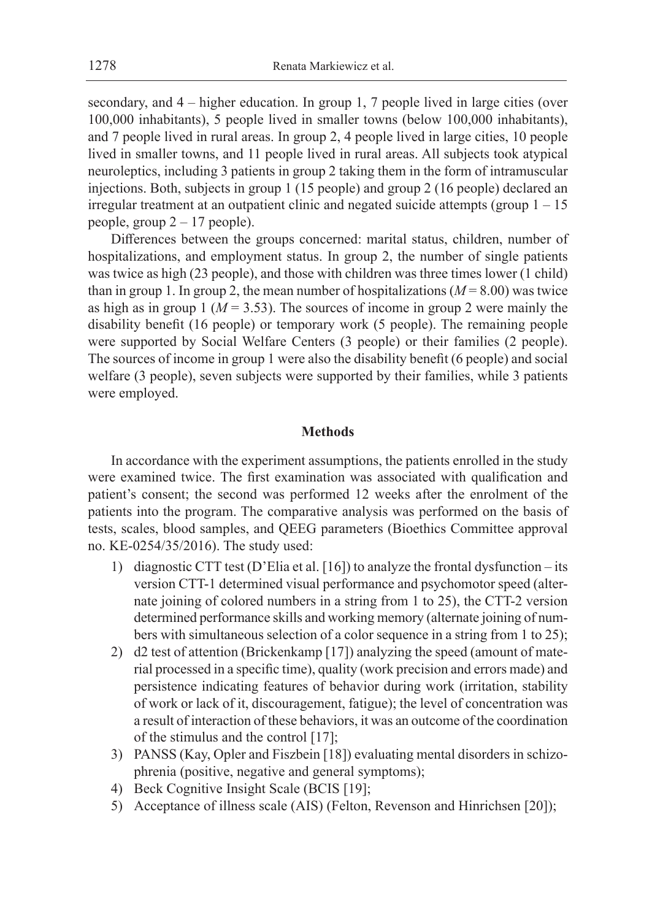secondary, and 4 – higher education. In group 1, 7 people lived in large cities (over 100,000 inhabitants), 5 people lived in smaller towns (below 100,000 inhabitants), and 7 people lived in rural areas. In group 2, 4 people lived in large cities, 10 people lived in smaller towns, and 11 people lived in rural areas. All subjects took atypical neuroleptics, including 3 patients in group 2 taking them in the form of intramuscular injections. Both, subjects in group 1 (15 people) and group 2 (16 people) declared an irregular treatment at an outpatient clinic and negated suicide attempts (group  $1 - 15$ ) people, group 2 – 17 people).

Differences between the groups concerned: marital status, children, number of hospitalizations, and employment status. In group 2, the number of single patients was twice as high (23 people), and those with children was three times lower (1 child) than in group 1. In group 2, the mean number of hospitalizations  $(M = 8.00)$  was twice as high as in group 1 ( $M = 3.53$ ). The sources of income in group 2 were mainly the disability benefit (16 people) or temporary work (5 people). The remaining people were supported by Social Welfare Centers (3 people) or their families (2 people). The sources of income in group 1 were also the disability benefit (6 people) and social welfare (3 people), seven subjects were supported by their families, while 3 patients were employed.

### **Methods**

In accordance with the experiment assumptions, the patients enrolled in the study were examined twice. The first examination was associated with qualification and patient's consent; the second was performed 12 weeks after the enrolment of the patients into the program. The comparative analysis was performed on the basis of tests, scales, blood samples, and QEEG parameters (Bioethics Committee approval no. KE-0254/35/2016). The study used:

- 1) diagnostic CTT test (D'Elia et al. [16]) to analyze the frontal dysfunction its version CTT-1 determined visual performance and psychomotor speed (alternate joining of colored numbers in a string from 1 to 25), the CTT-2 version determined performance skills and working memory (alternate joining of numbers with simultaneous selection of a color sequence in a string from 1 to 25);
- 2) d2 test of attention (Brickenkamp [17]) analyzing the speed (amount of material processed in a specific time), quality (work precision and errors made) and persistence indicating features of behavior during work (irritation, stability of work or lack of it, discouragement, fatigue); the level of concentration was a result of interaction of these behaviors, it was an outcome of the coordination of the stimulus and the control [17];
- 3) PANSS (Kay, Opler and Fiszbein [18]) evaluating mental disorders in schizophrenia (positive, negative and general symptoms);
- 4) Beck Cognitive Insight Scale (BCIS [19];
- 5) Acceptance of illness scale (AIS) (Felton, Revenson and Hinrichsen [20]);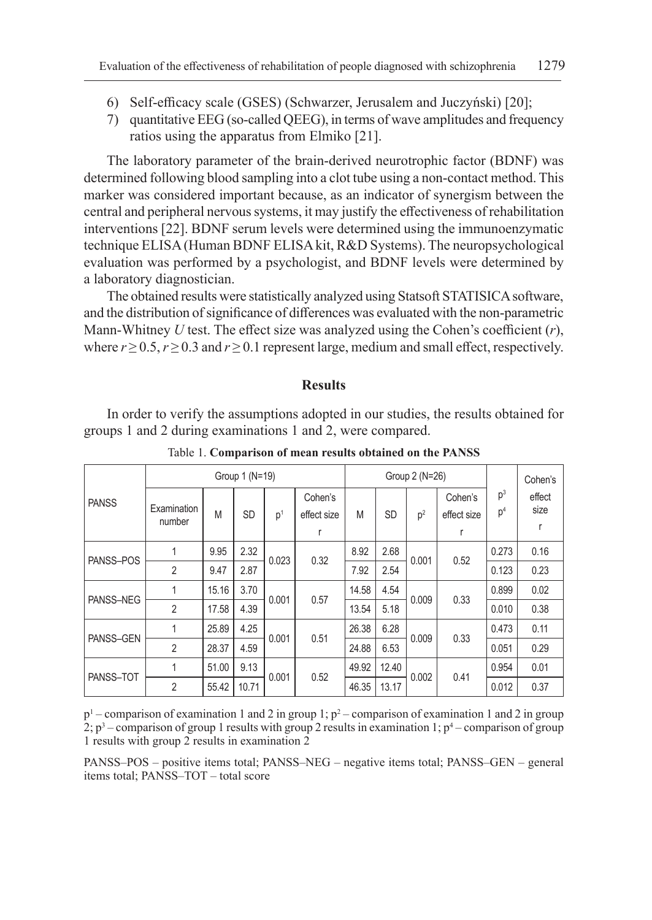- 6) Self-efficacy scale (GSES) (Schwarzer, Jerusalem and Juczyński) [20];
- 7) quantitative EEG (so-called QEEG), in terms of wave amplitudes and frequency ratios using the apparatus from Elmiko [21].

The laboratory parameter of the brain-derived neurotrophic factor (BDNF) was determined following blood sampling into a clot tube using a non-contact method. This marker was considered important because, as an indicator of synergism between the central and peripheral nervous systems, it may justify the effectiveness of rehabilitation interventions [22]. BDNF serum levels were determined using the immunoenzymatic technique ELISA (Human BDNF ELISA kit, R&D Systems). The neuropsychological evaluation was performed by a psychologist, and BDNF levels were determined by a laboratory diagnostician.

The obtained results were statistically analyzed using Statsoft STATISICA software, and the distribution of significance of differences was evaluated with the non-parametric Mann-Whitney *U* test. The effect size was analyzed using the Cohen's coefficient (*r*), where  $r \ge 0.5$ ,  $r \ge 0.3$  and  $r \ge 0.1$  represent large, medium and small effect, respectively.

## **Results**

In order to verify the assumptions adopted in our studies, the results obtained for groups 1 and 2 during examinations 1 and 2, were compared.

|              |                       | Group 1 (N=19) |           |                |                             | Group 2 (N=26) |           |                | Cohen's                |                                  |                |
|--------------|-----------------------|----------------|-----------|----------------|-----------------------------|----------------|-----------|----------------|------------------------|----------------------------------|----------------|
| <b>PANSS</b> | Examination<br>number | M              | <b>SD</b> | p <sup>1</sup> | Cohen's<br>effect size<br>r | M              | <b>SD</b> | p <sup>2</sup> | Cohen's<br>effect size | p <sup>3</sup><br>p <sup>4</sup> | effect<br>size |
| PANSS-POS    | 1                     | 9.95           | 2.32      | 0.023          | 0.32                        | 8.92           | 2.68      | 0.001          | 0.52                   | 0.273                            | 0.16           |
|              | $\overline{2}$        | 9.47           | 2.87      |                |                             | 7.92           | 2.54      |                |                        | 0.123                            | 0.23           |
|              | 1                     | 15.16          | 3.70      | 0.001          | 0.57                        | 14.58          | 4.54      | 0.009          | 0.33                   | 0.899                            | 0.02           |
| PANSS-NEG    | $\overline{2}$        | 17.58          | 4.39      |                |                             | 13.54          | 5.18      |                |                        | 0.010                            | 0.38           |
| PANSS-GEN    | 1                     | 25.89          | 4.25      | 0.001          | 0.51                        | 26.38          | 6.28      | 0.009          | 0.33                   | 0.473                            | 0.11           |
|              | $\overline{2}$        | 28.37          | 4.59      |                |                             | 24.88          | 6.53      |                |                        | 0.051                            | 0.29           |
| PANSS-TOT    | 1                     | 51.00          | 9.13      | 0.001          |                             | 49.92          | 12.40     | 0.002          |                        | 0.954                            | 0.01           |
|              | $\overline{2}$        | 55.42          | 10.71     |                | 0.52                        | 46.35          | 13.17     |                | 0.41                   | 0.012                            | 0.37           |

Table 1. **Comparison of mean results obtained on the PANSS**

 $p<sup>1</sup>$  – comparison of examination 1 and 2 in group 1;  $p<sup>2</sup>$  – comparison of examination 1 and 2 in group 2;  $p^3$  – comparison of group 1 results with group 2 results in examination 1;  $p^4$  – comparison of group 1 results with group 2 results in examination 2

PANSS–POS – positive items total; PANSS–NEG – negative items total; PANSS–GEN – general items total; PANSS–TOT – total score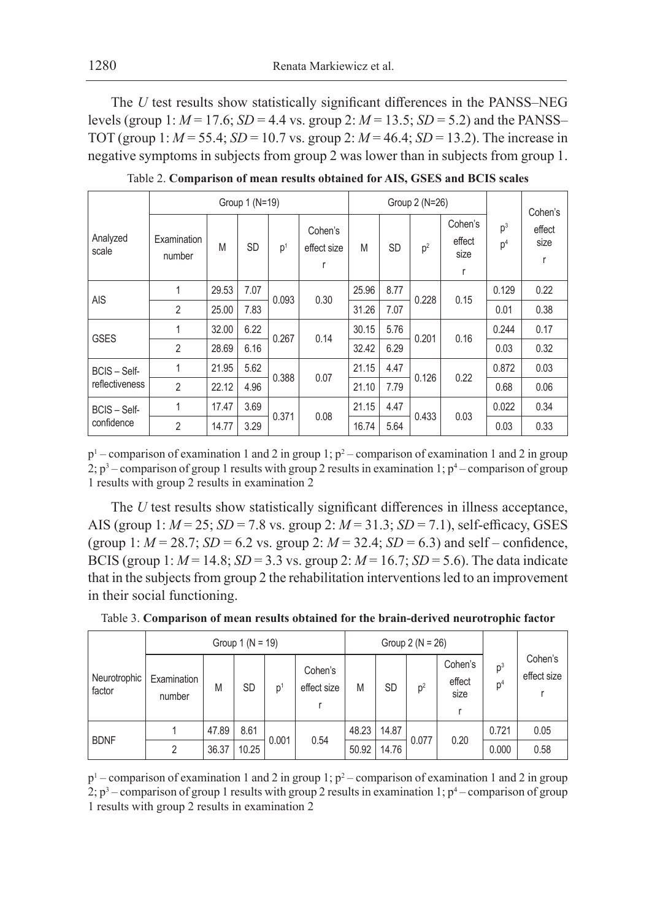The *U* test results show statistically significant differences in the PANSS–NEG levels (group 1: *M* = 17.6; *SD* = 4.4 vs. group 2: *M* = 13.5; *SD* = 5.2) and the PANSS– TOT (group 1: *M* = 55.4; *SD* = 10.7 vs. group 2: *M* = 46.4; *SD* = 13.2). The increase in negative symptoms in subjects from group 2 was lower than in subjects from group 1.

|                            |                       |       | Group 1 (N=19) |                |                             |               | Group 2 (N=26) |                |                                | Cohen's                          |                     |
|----------------------------|-----------------------|-------|----------------|----------------|-----------------------------|---------------|----------------|----------------|--------------------------------|----------------------------------|---------------------|
| Analyzed<br>scale          | Examination<br>number | M     | <b>SD</b>      | p <sup>1</sup> | Cohen's<br>effect size<br>r | M             | <b>SD</b>      | p <sup>2</sup> | Cohen's<br>effect<br>size<br>r | p <sup>3</sup><br>p <sup>4</sup> | effect<br>size<br>r |
| <b>AIS</b>                 | 1                     | 29.53 | 7.07           | 0.093          | 0.30                        | 25.96<br>8.77 | 0.228          | 0.15           | 0.129                          | 0.22                             |                     |
|                            | $\overline{2}$        | 25.00 | 7.83           |                |                             | 31.26         | 7.07           |                |                                | 0.01                             | 0.38                |
| <b>GSES</b>                | 1                     | 32.00 | 6.22           | 0.267          | 0.14                        | 30.15         | 5.76           | 0.201          | 0.16                           | 0.244                            | 0.17                |
|                            | $\overline{2}$        | 28.69 | 6.16           |                |                             | 32.42         | 6.29           |                |                                | 0.03                             | 0.32                |
| BCIS - Self-               | 1                     | 21.95 | 5.62           | 0.388          | 0.07                        | 21.15         | 4.47           | 0.126          | 0.22                           | 0.872                            | 0.03                |
| reflectiveness             | $\overline{2}$        | 22.12 | 4.96           |                |                             | 21.10         | 7.79           |                |                                | 0.68                             | 0.06                |
| BCIS - Self-<br>confidence | 1                     | 17.47 | 3.69           | 0.371          | 0.08                        | 21.15         | 4.47           | 0.433          | 0.03                           | 0.022                            | 0.34                |
|                            | $\overline{2}$        | 14.77 | 3.29           |                |                             | 16.74         | 5.64           |                |                                | 0.03                             | 0.33                |

Table 2. **Comparison of mean results obtained for AIS, GSES and BCIS scales**

 $p<sup>1</sup>$  – comparison of examination 1 and 2 in group 1;  $p<sup>2</sup>$  – comparison of examination 1 and 2 in group 2;  $p^3$  – comparison of group 1 results with group 2 results in examination 1;  $p^4$  – comparison of group 1 results with group 2 results in examination 2

The *U* test results show statistically significant differences in illness acceptance, AIS (group 1: *M* = 25; *SD* = 7.8 vs. group 2: *M* = 31.3; *SD* = 7.1), self-efficacy, GSES (group 1:  $M = 28.7$ ;  $SD = 6.2$  vs. group 2:  $M = 32.4$ ;  $SD = 6.3$ ) and self – confidence, BCIS (group 1: *M* = 14.8; *SD* = 3.3 vs. group 2: *M* = 16.7; *SD* = 5.6). The data indicate that in the subjects from group 2 the rehabilitation interventions led to an improvement in their social functioning.

|                        |                       | Group $1 (N = 19)$ |       |                |                        | Group $2 (N = 26)$ |           |                |                           |                         |                        |
|------------------------|-----------------------|--------------------|-------|----------------|------------------------|--------------------|-----------|----------------|---------------------------|-------------------------|------------------------|
| Neurotrophic<br>factor | Examination<br>number | M                  | SD    | p <sup>1</sup> | Cohen's<br>effect size | M                  | <b>SD</b> | p <sup>2</sup> | Cohen's<br>effect<br>size | $p^3$<br>p <sup>4</sup> | Cohen's<br>effect size |
| <b>BDNF</b>            |                       | 47.89              | 8.61  | 0.001          | 0.54                   | 48.23              | 14.87     | 0.077          | 0.20                      | 0.721                   | 0.05                   |
|                        | っ                     | 36.37              | 10.25 |                |                        | 50.92              | 14.76     |                |                           | 0.000                   | 0.58                   |

Table 3. **Comparison of mean results obtained for the brain-derived neurotrophic factor**

 $p<sup>1</sup>$  – comparison of examination 1 and 2 in group 1;  $p<sup>2</sup>$  – comparison of examination 1 and 2 in group 2;  $p^3$  – comparison of group 1 results with group 2 results in examination 1;  $p^4$  – comparison of group 1 results with group 2 results in examination 2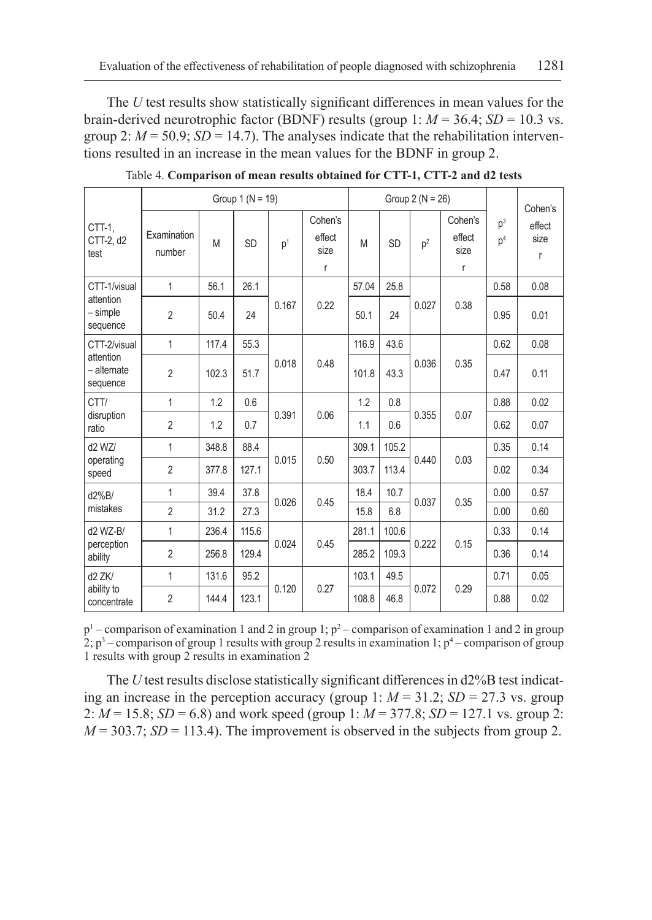The *U* test results show statistically significant differences in mean values for the brain-derived neurotrophic factor (BDNF) results (group 1:  $M = 36.4$ ;  $SD = 10.3$  vs. group 2:  $M = 50.9$ ;  $SD = 14.7$ ). The analyses indicate that the rehabilitation interventions resulted in an increase in the mean values for the BDNF in group 2.

|                                                      |                       | Group $1 (N = 19)$ |           |                |                                           | Group $2(N = 26)$ |           |                | Cohen's                        |                         |                     |
|------------------------------------------------------|-----------------------|--------------------|-----------|----------------|-------------------------------------------|-------------------|-----------|----------------|--------------------------------|-------------------------|---------------------|
| CTT-1,<br>CTT-2, d2<br>test                          | Examination<br>number | M                  | <b>SD</b> | p <sup>1</sup> | Cohen's<br>effect<br>size<br>$\mathsf{r}$ | M                 | <b>SD</b> | p <sup>2</sup> | Cohen's<br>effect<br>size<br>r | $p^3$<br>p <sup>4</sup> | effect<br>size<br>r |
| CTT-1/visual<br>attention<br>- simple<br>sequence    | 1                     | 56.1               | 26.1      |                |                                           | 57.04             | 25.8      |                |                                | 0.58                    | 0.08                |
|                                                      | $\overline{2}$        | 50.4               | 24        | 0.167          | 0.22                                      | 50.1              | 24        | 0.027          | 0.38                           | 0.95                    | 0.01                |
| CTT-2/visual<br>attention<br>- alternate<br>sequence | $\mathbf{1}$          | 117.4              | 55.3      |                |                                           | 43.6<br>116.9     |           |                | 0.62                           | 0.08                    |                     |
|                                                      | $\overline{2}$        | 102.3              | 51.7      | 0.018          | 0.48                                      | 101.8             | 43.3      | 0.036          | 0.35                           | 0.47                    | 0.11                |
| CTT/                                                 | 1                     | 1.2                | 0.6       |                | 0.06                                      | 1.2               | 0.8       |                |                                | 0.88                    | 0.02                |
| disruption<br>ratio                                  | $\overline{2}$        | 1.2                | 0.7       | 0.391          |                                           | 1.1               | 0.6       | 0.355          | 0.07                           | 0.62                    | 0.07                |
| d2 WZ/                                               | 1                     | 348.8              | 88.4      |                |                                           | 309.1             | 105.2     |                |                                | 0.35                    | 0.14                |
| operating<br>speed                                   | $\overline{2}$        | 377.8              | 127.1     | 0.015          | 0.50                                      | 303.7             | 113.4     | 0.440          | 0.03                           | 0.02                    | 0.34                |
| d2%B/                                                | 1                     | 39.4               | 37.8      | 0.026          | 0.45                                      | 18.4              | 10.7      | 0.037          | 0.35                           | 0.00                    | 0.57                |
| mistakes                                             | $\overline{2}$        | 31.2               | 27.3      |                |                                           | 15.8              | 6.8       |                |                                | 0.00                    | 0.60                |
| d2 WZ-B/                                             | 1                     | 236.4              | 115.6     |                |                                           | 281.1             | 100.6     |                |                                | 0.33                    | 0.14                |
| perception<br>ability                                | $\overline{2}$        | 256.8              | 129.4     | 0.024          | 0.45                                      | 285.2             | 109.3     | 0.222          | 0.15                           | 0.36                    | 0.14                |
| d <sub>2</sub> ZK/                                   | 1                     | 131.6              | 95.2      |                |                                           | 103.1             | 49.5      |                |                                | 0.71                    | 0.05                |
| ability to<br>concentrate                            | $\overline{2}$        | 144.4              | 123.1     | 0.120          | 0.27                                      | 108.8             | 46.8      | 0.072          | 0.29                           | 0.88                    | 0.02                |

Table 4. **Comparison of mean results obtained for CTT-1, CTT-2 and d2 tests**

 $p<sup>1</sup>$  – comparison of examination 1 and 2 in group 1;  $p<sup>2</sup>$  – comparison of examination 1 and 2 in group 2;  $p^3$  – comparison of group 1 results with group 2 results in examination 1;  $p^4$  – comparison of group 1 results with group 2 results in examination 2

The *U* test results disclose statistically significant differences in d2%B test indicating an increase in the perception accuracy (group 1:  $M = 31.2$ ;  $SD = 27.3$  vs. group 2: *M* = 15.8; *SD* = 6.8) and work speed (group 1: *M* = 377.8; *SD* = 127.1 vs. group 2:  $M = 303.7$ ; *SD* = 113.4). The improvement is observed in the subjects from group 2.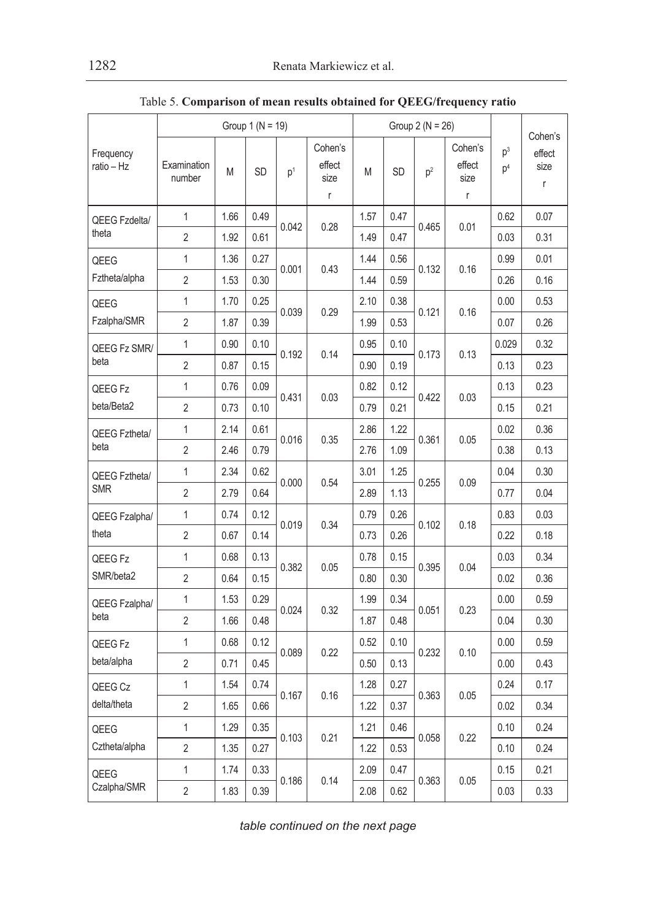|                         |                       | Group $1 (N = 19)$ |      |                                      | Group $2 (N = 26)$                    |      |      |       |                                |                                  |                                           |
|-------------------------|-----------------------|--------------------|------|--------------------------------------|---------------------------------------|------|------|-------|--------------------------------|----------------------------------|-------------------------------------------|
| Frequency<br>ratio – Hz | Examination<br>number | M                  | SD   | $\mathsf{p}^{\scriptscriptstyle{1}}$ | Cohen's<br>effect<br>size<br>$\Gamma$ | M    | SD   | $p^2$ | Cohen's<br>effect<br>size<br>r | p <sup>3</sup><br>p <sup>4</sup> | Cohen's<br>effect<br>size<br>$\mathsf{r}$ |
| QEEG Fzdelta/           | 1                     | 1.66               | 0.49 |                                      |                                       | 1.57 | 0.47 |       |                                | 0.62                             | 0.07                                      |
| theta                   | 2                     | 1.92               | 0.61 | 0.042                                | 0.28                                  | 1.49 | 0.47 | 0.465 | 0.01                           | 0.03                             | 0.31                                      |
| QEEG                    | $\mathbf{1}$          | 1.36               | 0.27 | 0.001                                | 0.43                                  | 1.44 | 0.56 |       |                                | 0.99                             | 0.01                                      |
| Fztheta/alpha           | $\overline{2}$        | 1.53               | 0.30 |                                      |                                       | 1.44 | 0.59 | 0.132 | 0.16                           | 0.26                             | 0.16                                      |
| QEEG                    | 1                     | 1.70               | 0.25 |                                      |                                       | 2.10 | 0.38 |       |                                | 0.00                             | 0.53                                      |
| Fzalpha/SMR             | $\overline{2}$        | 1.87               | 0.39 | 0.039                                | 0.29                                  | 1.99 | 0.53 | 0.121 | 0.16                           | 0.07                             | 0.26                                      |
| QEEG Fz SMR/            | 1                     | 0.90               | 0.10 |                                      | 0.14                                  | 0.95 | 0.10 |       |                                | 0.029                            | 0.32                                      |
| beta                    | 2                     | 0.87               | 0.15 | 0.192                                |                                       | 0.90 | 0.19 | 0.173 | 0.13                           | 0.13                             | 0.23                                      |
| QEEG Fz                 | 1                     | 0.76               | 0.09 | 0.431                                |                                       | 0.82 | 0.12 | 0.422 | 0.03                           | 0.13                             | 0.23                                      |
| beta/Beta2              | $\overline{2}$        | 0.73               | 0.10 |                                      | 0.03                                  | 0.79 | 0.21 |       |                                | 0.15                             | 0.21                                      |
| QEEG Fztheta/<br>beta   | 1                     | 2.14               | 0.61 | 0.016                                | 0.35                                  | 2.86 | 1.22 | 0.361 | 0.05                           | 0.02                             | 0.36                                      |
|                         | $\overline{2}$        | 2.46               | 0.79 |                                      |                                       | 2.76 | 1.09 |       |                                | 0.38                             | 0.13                                      |
| QEEG Fztheta/           | $\mathbf 1$           | 2.34               | 0.62 | 0.000                                | 0.54                                  | 3.01 | 1.25 | 0.255 | 0.09                           | 0.04                             | 0.30                                      |
| <b>SMR</b>              | 2                     | 2.79               | 0.64 |                                      |                                       | 2.89 | 1.13 |       |                                | 0.77                             | 0.04                                      |
| QEEG Fzalpha/           | $\mathbf{1}$          | 0.74               | 0.12 | 0.019                                |                                       | 0.79 | 0.26 | 0.102 | 0.18                           | 0.83                             | 0.03                                      |
| theta                   | 2                     | 0.67               | 0.14 |                                      | 0.34                                  | 0.73 | 0.26 |       |                                | 0.22                             | 0.18                                      |
| QEEG Fz                 | 1                     | 0.68               | 0.13 | 0.382                                | 0.05                                  | 0.78 | 0.15 | 0.395 | 0.04                           | 0.03                             | 0.34                                      |
| SMR/beta2               | 2                     | 0.64               | 0.15 |                                      |                                       | 0.80 | 0.30 |       |                                | 0.02                             | 0.36                                      |
| QEEG Fzalpha/           | 1                     | 1.53               | 0.29 | 0.024                                | 0.32                                  | 1.99 | 0.34 | 0.051 | 0.23                           | 0.00                             | 0.59                                      |
| beta                    | $\overline{2}$        | 1.66               | 0.48 |                                      |                                       | 1.87 | 0.48 |       |                                | 0.04                             | 0.30                                      |
| QEEG Fz                 | 1                     | 0.68               | 0.12 | 0.089                                | 0.22                                  | 0.52 | 0.10 | 0.232 | 0.10                           | 0.00                             | 0.59                                      |
| beta/alpha              | 2                     | 0.71               | 0.45 |                                      |                                       | 0.50 | 0.13 |       |                                | 0.00                             | 0.43                                      |
| QEEG Cz                 | 1                     | 1.54               | 0.74 | 0.167                                | 0.16                                  | 1.28 | 0.27 | 0.363 | 0.05                           | 0.24                             | 0.17                                      |
| delta/theta             | $\overline{2}$        | 1.65               | 0.66 |                                      |                                       | 1.22 | 0.37 |       |                                | 0.02                             | 0.34                                      |
| QEEG                    | 1                     | 1.29               | 0.35 | 0.103                                | 0.21                                  | 1.21 | 0.46 | 0.058 |                                | 0.10                             | 0.24                                      |
| Cztheta/alpha           | $\overline{2}$        | 1.35               | 0.27 |                                      |                                       | 1.22 | 0.53 |       | 0.22                           | 0.10                             | 0.24                                      |
| QEEG                    | 1                     | 1.74               | 0.33 | 0.186                                |                                       | 2.09 | 0.47 |       |                                | 0.15                             | 0.21                                      |
| Czalpha/SMR             | $\overline{2}$        | 1.83               | 0.39 |                                      | 0.14                                  | 2.08 | 0.62 | 0.363 | 0.05                           | 0.03                             | 0.33                                      |

Table 5. **Comparison of mean results obtained for QEEG/frequency ratio**

*table continued on the next page*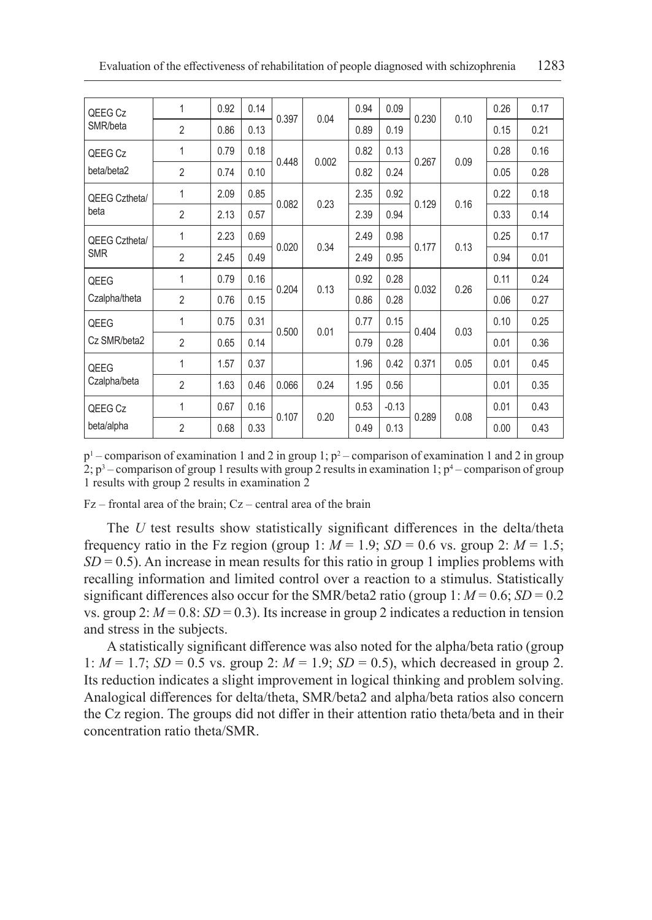| QEEG Cz                     | 1              | 0.92 | 0.14 | 0.397 | 0.04  | 0.94 | 0.09    | 0.230 | 0.10 | 0.26 | 0.17 |
|-----------------------------|----------------|------|------|-------|-------|------|---------|-------|------|------|------|
| SMR/beta                    | $\overline{2}$ | 0.86 | 0.13 |       |       | 0.89 | 0.19    |       |      | 0.15 | 0.21 |
| QEEG Cz                     | 1              | 0.79 | 0.18 | 0.448 | 0.002 | 0.82 | 0.13    |       | 0.09 | 0.28 | 0.16 |
| beta/beta2                  | $\overline{2}$ | 0.74 | 0.10 |       |       | 0.82 | 0.24    | 0.267 |      | 0.05 | 0.28 |
| QEEG Cztheta/               | 1              | 2.09 | 0.85 | 0.082 | 0.23  | 2.35 | 0.92    | 0.129 | 0.16 | 0.22 | 0.18 |
| beta                        | $\overline{2}$ | 2.13 | 0.57 |       |       | 2.39 | 0.94    |       |      | 0.33 | 0.14 |
| QEEG Cztheta/<br><b>SMR</b> | 1              | 2.23 | 0.69 | 0.020 | 0.34  | 2.49 | 0.98    | 0.177 | 0.13 | 0.25 | 0.17 |
|                             | $\overline{2}$ | 2.45 | 0.49 |       |       | 2.49 | 0.95    |       |      | 0.94 | 0.01 |
| QEEG                        | $\mathbf{1}$   | 0.79 | 0.16 | 0.204 | 0.13  | 0.92 | 0.28    | 0.032 | 0.26 | 0.11 | 0.24 |
| Czalpha/theta               | $\overline{2}$ | 0.76 | 0.15 |       |       | 0.86 | 0.28    |       |      | 0.06 | 0.27 |
| QEEG                        | 1              | 0.75 | 0.31 |       |       | 0.77 | 0.15    |       |      | 0.10 | 0.25 |
| Cz SMR/beta2                | $\overline{2}$ | 0.65 | 0.14 | 0.500 | 0.01  | 0.79 | 0.28    | 0.404 | 0.03 | 0.01 | 0.36 |
| QEEG                        | 1              | 1.57 | 0.37 |       |       | 1.96 | 0.42    | 0.371 | 0.05 | 0.01 | 0.45 |
| Czalpha/beta                | $\overline{2}$ | 1.63 | 0.46 | 0.066 | 0.24  | 1.95 | 0.56    |       |      | 0.01 | 0.35 |
| QEEG Cz                     | 1              | 0.67 | 0.16 | 0.107 | 0.20  | 0.53 | $-0.13$ | 0.289 | 0.08 | 0.01 | 0.43 |
| beta/alpha                  | $\overline{2}$ | 0.68 | 0.33 |       |       | 0.49 | 0.13    |       |      | 0.00 | 0.43 |

 $p<sup>1</sup>$  – comparison of examination 1 and 2 in group 1;  $p<sup>2</sup>$  – comparison of examination 1 and 2 in group 2;  $p^3$  – comparison of group 1 results with group 2 results in examination 1;  $p^4$  – comparison of group 1 results with group 2 results in examination 2

Fz – frontal area of the brain; Cz – central area of the brain

The *U* test results show statistically significant differences in the delta/theta frequency ratio in the Fz region (group 1:  $M = 1.9$ ;  $SD = 0.6$  vs. group 2:  $M = 1.5$ ;  $SD = 0.5$ ). An increase in mean results for this ratio in group 1 implies problems with recalling information and limited control over a reaction to a stimulus. Statistically significant differences also occur for the SMR/beta2 ratio (group 1:  $M = 0.6$ ; *SD* = 0.2 vs. group 2:  $M = 0.8$ :  $SD = 0.3$ ). Its increase in group 2 indicates a reduction in tension and stress in the subjects.

A statistically significant difference was also noted for the alpha/beta ratio (group 1:  $M = 1.7$ ; *SD* = 0.5 vs. group 2:  $M = 1.9$ ; *SD* = 0.5), which decreased in group 2. Its reduction indicates a slight improvement in logical thinking and problem solving. Analogical differences for delta/theta, SMR/beta2 and alpha/beta ratios also concern the Cz region. The groups did not differ in their attention ratio theta/beta and in their concentration ratio theta/SMR.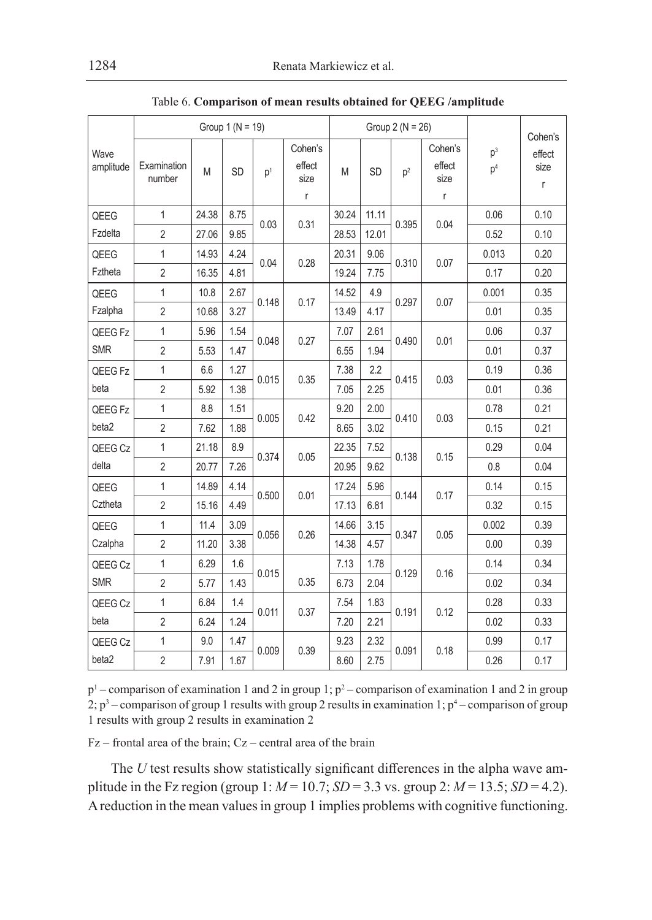|                   |                            |       | Group $1 (N = 19)$ |                |                                |       |           | Group $2(N = 26)$ |                                          |                         | Cohen's             |
|-------------------|----------------------------|-------|--------------------|----------------|--------------------------------|-------|-----------|-------------------|------------------------------------------|-------------------------|---------------------|
| Wave<br>amplitude | Examination<br>M<br>number |       | <b>SD</b>          | p <sup>1</sup> | Cohen's<br>effect<br>size<br>r |       | <b>SD</b> | p <sup>2</sup>    | Cohen's<br>effect<br>size<br>$\mathsf r$ | $p^3$<br>p <sup>4</sup> | effect<br>size<br>r |
| QEEG              | 1                          | 24.38 | 8.75               | 0.03           | 0.31                           | 30.24 | 11.11     | 0.395             | 0.04                                     | 0.06                    | 0.10                |
| Fzdelta           | $\overline{2}$             | 27.06 | 9.85               |                |                                | 28.53 | 12.01     |                   |                                          | 0.52                    | 0.10                |
| QEEG              | 1                          | 14.93 | 4.24               | 0.04           | 0.28                           | 20.31 | 9.06      | 0.310             | 0.07                                     | 0.013                   | 0.20                |
| Fztheta           | $\overline{2}$             | 16.35 | 4.81               |                |                                | 19.24 | 7.75      |                   |                                          | 0.17                    | 0.20                |
| QEEG              | $\mathbf{1}$               | 10.8  | 2.67               | 0.148<br>0.17  |                                | 14.52 | 4.9       | 0.297             | 0.07                                     | 0.001                   | 0.35                |
| Fzalpha           | $\overline{2}$             | 10.68 | 3.27               |                |                                | 13.49 | 4.17      |                   |                                          | 0.01                    | 0.35                |
| QEEG Fz           | 1                          | 5.96  | 1.54               | 0.048          | 0.27                           | 7.07  | 2.61      | 0.490             | 0.01                                     | 0.06                    | 0.37                |
| <b>SMR</b>        | $\overline{2}$             | 5.53  | 1.47               |                |                                | 6.55  | 1.94      |                   |                                          | 0.01                    | 0.37                |
| QEEG Fz           | $\mathbf{1}$               | 6.6   | 1.27               | 0.015          | 0.35                           | 7.38  | 2.2       | 0.415             | 0.03                                     | 0.19                    | 0.36                |
| beta              | $\overline{2}$             | 5.92  | 1.38               |                |                                | 7.05  | 2.25      |                   |                                          | 0.01                    | 0.36                |
| QEEG Fz           | $\mathbf{1}$               | 8.8   | 1.51               | 0.005          | 0.42                           | 9.20  | 2.00      | 0.410             | 0.03                                     | 0.78                    | 0.21                |
| beta2             | $\overline{2}$             | 7.62  | 1.88               |                |                                | 8.65  | 3.02      |                   |                                          | 0.15                    | 0.21                |
| QEEG Cz           | $\mathbf{1}$               | 21.18 | 8.9                | 0.374          | 0.05                           | 22.35 | 7.52      | 0.138             | 0.15                                     | 0.29                    | 0.04                |
| delta             | $\overline{2}$             | 20.77 | 7.26               |                |                                | 20.95 | 9.62      |                   |                                          | 0.8                     | 0.04                |
| QEEG              | $\mathbf{1}$               | 14.89 | 4.14               | 0.500          | 0.01                           | 17.24 | 5.96      | 0.144             | 0.17                                     | 0.14                    | 0.15                |
| Cztheta           | $\overline{2}$             | 15.16 | 4.49               |                |                                | 17.13 | 6.81      |                   |                                          | 0.32                    | 0.15                |
| QEEG              | 1                          | 11.4  | 3.09               | 0.056          | 0.26                           | 14.66 | 3.15      | 0.347             | 0.05                                     | 0.002                   | 0.39                |
| Czalpha           | $\overline{2}$             | 11.20 | 3.38               |                |                                | 14.38 | 4.57      |                   |                                          | 0.00                    | 0.39                |
| QEEG Cz           | $\mathbf{1}$               | 6.29  | 1.6                | 0.015          |                                | 7.13  | 1.78      | 0.129             | 0.16                                     | 0.14                    | 0.34                |
| <b>SMR</b>        | $\overline{2}$             | 5.77  | 1.43               |                | 0.35                           | 6.73  | 2.04      |                   |                                          | 0.02                    | 0.34                |
| QEEG Cz           | 1                          | 6.84  | 1.4                | 0.011          | 0.37                           | 7.54  | 1.83      | 0.191             | 0.12                                     | 0.28                    | 0.33                |
| beta              | $\overline{2}$             | 6.24  | 1.24               |                |                                | 7.20  | 2.21      |                   |                                          | 0.02                    | 0.33                |
| QEEG Cz           | 1                          | 9.0   | 1.47               | 0.009          | 0.39                           | 9.23  | 2.32      | 0.091             | 0.18                                     | 0.99                    | 0.17                |
| beta2             | $\overline{2}$             | 7.91  | 1.67               |                |                                | 8.60  | 2.75      |                   |                                          | 0.26                    | 0.17                |

Table 6. **Comparison of mean results obtained for QEEG /amplitude**

 $p<sup>1</sup>$  – comparison of examination 1 and 2 in group 1;  $p<sup>2</sup>$  – comparison of examination 1 and 2 in group 2;  $p^3$  – comparison of group 1 results with group 2 results in examination 1;  $p^4$  – comparison of group 1 results with group 2 results in examination 2

Fz – frontal area of the brain; Cz – central area of the brain

The *U* test results show statistically significant differences in the alpha wave amplitude in the Fz region (group  $1: M = 10.7$ ; *SD* = 3.3 vs. group 2:  $M = 13.5$ ; *SD* = 4.2). Areduction in the mean values in group 1 implies problems with cognitive functioning.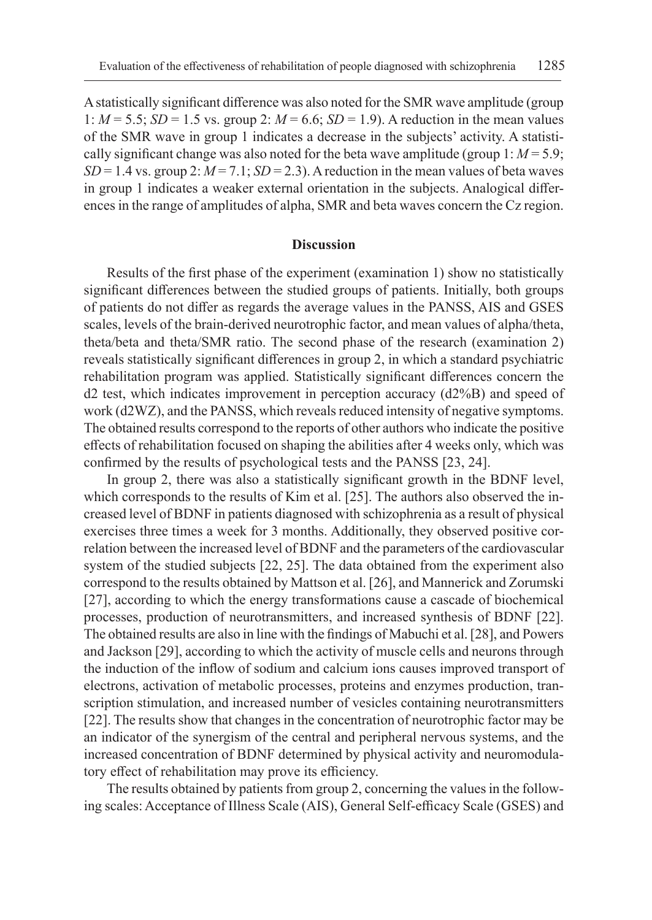A statistically significant difference was also noted for the SMR wave amplitude (group 1: *M* = 5.5; *SD* = 1.5 vs. group 2: *M* = 6.6; *SD* = 1.9). A reduction in the mean values of the SMR wave in group 1 indicates a decrease in the subjects' activity. A statistically significant change was also noted for the beta wave amplitude (group  $1: M = 5.9$ ;  $SD = 1.4$  vs. group 2:  $M = 7.1$ ;  $SD = 2.3$ ). A reduction in the mean values of beta waves in group 1 indicates a weaker external orientation in the subjects. Analogical differences in the range of amplitudes of alpha, SMR and beta waves concern the Cz region.

#### **Discussion**

Results of the first phase of the experiment (examination 1) show no statistically significant differences between the studied groups of patients. Initially, both groups of patients do not differ as regards the average values in the PANSS, AIS and GSES scales, levels of the brain-derived neurotrophic factor, and mean values of alpha/theta, theta/beta and theta/SMR ratio. The second phase of the research (examination 2) reveals statistically significant differences in group 2, in which a standard psychiatric rehabilitation program was applied. Statistically significant differences concern the  $d2$  test, which indicates improvement in perception accuracy  $(d2\%B)$  and speed of work (d2WZ), and the PANSS, which reveals reduced intensity of negative symptoms. The obtained results correspond to the reports of other authors who indicate the positive effects of rehabilitation focused on shaping the abilities after 4 weeks only, which was confirmed by the results of psychological tests and the PANSS [23, 24].

In group 2, there was also a statistically significant growth in the BDNF level, which corresponds to the results of Kim et al. [25]. The authors also observed the increased level of BDNF in patients diagnosed with schizophrenia as a result of physical exercises three times a week for 3 months. Additionally, they observed positive correlation between the increased level of BDNF and the parameters of the cardiovascular system of the studied subjects [22, 25]. The data obtained from the experiment also correspond to the results obtained by Mattson et al. [26], and Mannerick and Zorumski [27], according to which the energy transformations cause a cascade of biochemical processes, production of neurotransmitters, and increased synthesis of BDNF [22]. The obtained results are also in line with the findings of Mabuchi et al. [28], and Powers and Jackson [29], according to which the activity of muscle cells and neurons through the induction of the inflow of sodium and calcium ions causes improved transport of electrons, activation of metabolic processes, proteins and enzymes production, transcription stimulation, and increased number of vesicles containing neurotransmitters [22]. The results show that changes in the concentration of neurotrophic factor may be an indicator of the synergism of the central and peripheral nervous systems, and the increased concentration of BDNF determined by physical activity and neuromodulatory effect of rehabilitation may prove its efficiency.

The results obtained by patients from group 2, concerning the values in the following scales: Acceptance of Illness Scale (AIS), General Self-efficacy Scale (GSES) and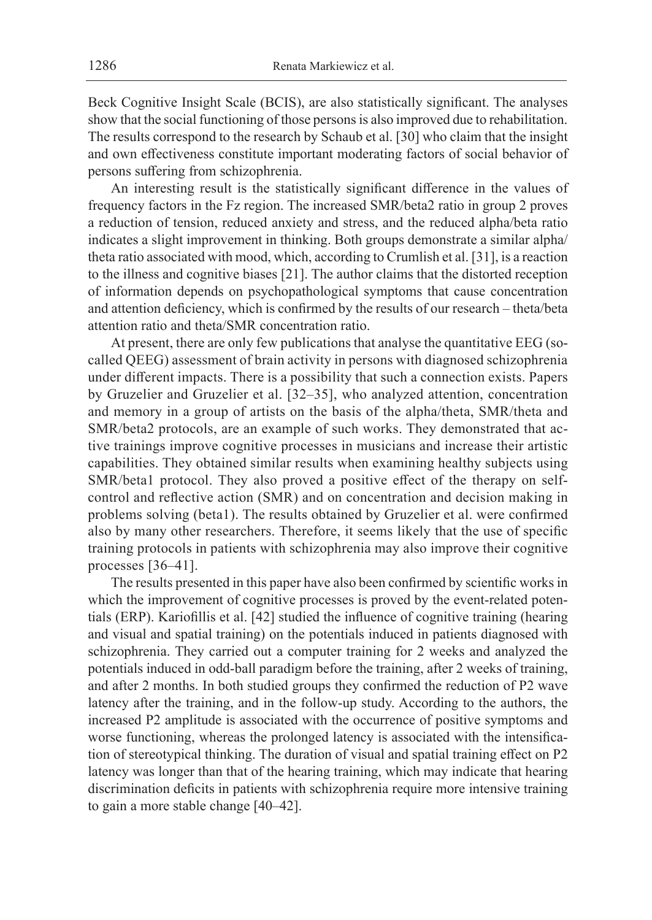Beck Cognitive Insight Scale (BCIS), are also statistically significant. The analyses show that the social functioning of those persons is also improved due to rehabilitation. The results correspond to the research by Schaub et al. [30] who claim that the insight and own effectiveness constitute important moderating factors of social behavior of persons suffering from schizophrenia.

An interesting result is the statistically significant difference in the values of frequency factors in the Fz region. The increased SMR/beta2 ratio in group 2 proves a reduction of tension, reduced anxiety and stress, and the reduced alpha/beta ratio indicates a slight improvement in thinking. Both groups demonstrate a similar alpha/ theta ratio associated with mood, which, according to Crumlish et al. [31], is a reaction to the illness and cognitive biases [21]. The author claims that the distorted reception of information depends on psychopathological symptoms that cause concentration and attention deficiency, which is confirmed by the results of our research – theta/beta attention ratio and theta/SMR concentration ratio.

At present, there are only few publications that analyse the quantitative EEG (socalled QEEG) assessment of brain activity in persons with diagnosed schizophrenia under different impacts. There is a possibility that such a connection exists. Papers by Gruzelier and Gruzelier et al. [32–35], who analyzed attention, concentration and memory in a group of artists on the basis of the alpha/theta, SMR/theta and SMR/beta2 protocols, are an example of such works. They demonstrated that active trainings improve cognitive processes in musicians and increase their artistic capabilities. They obtained similar results when examining healthy subjects using SMR/beta1 protocol. They also proved a positive effect of the therapy on selfcontrol and reflective action (SMR) and on concentration and decision making in problems solving (beta1). The results obtained by Gruzelier et al. were confirmed also by many other researchers. Therefore, it seems likely that the use of specific training protocols in patients with schizophrenia may also improve their cognitive processes [36–41].

The results presented in this paper have also been confirmed by scientific works in which the improvement of cognitive processes is proved by the event-related potentials (ERP). Kariofillis et al. [42] studied the influence of cognitive training (hearing and visual and spatial training) on the potentials induced in patients diagnosed with schizophrenia. They carried out a computer training for 2 weeks and analyzed the potentials induced in odd-ball paradigm before the training, after 2 weeks of training, and after 2 months. In both studied groups they confirmed the reduction of P2 wave latency after the training, and in the follow-up study. According to the authors, the increased P2 amplitude is associated with the occurrence of positive symptoms and worse functioning, whereas the prolonged latency is associated with the intensification of stereotypical thinking. The duration of visual and spatial training effect on P2 latency was longer than that of the hearing training, which may indicate that hearing discrimination deficits in patients with schizophrenia require more intensive training to gain a more stable change [40–42].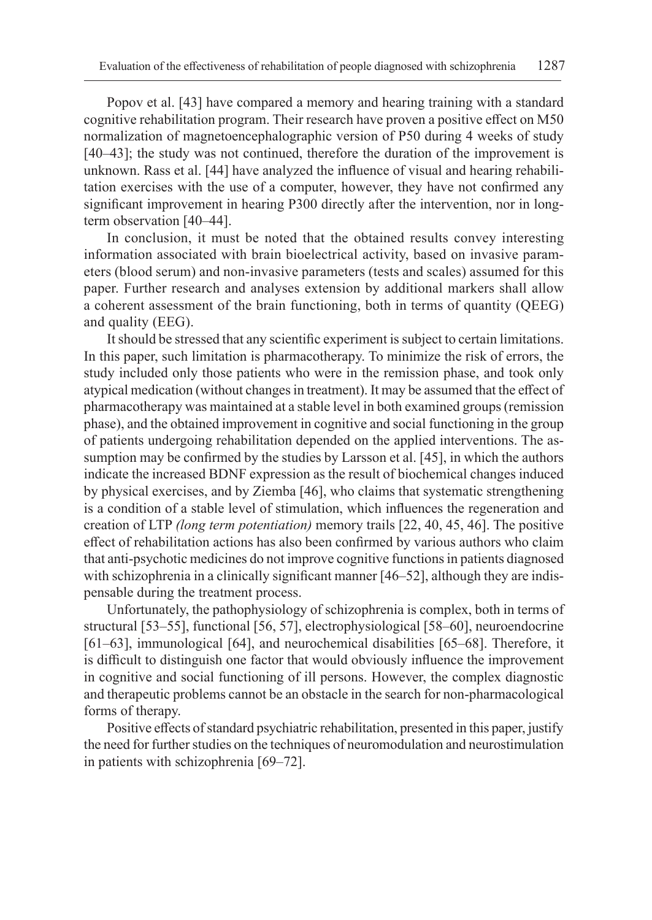Popov et al. [43] have compared a memory and hearing training with a standard cognitive rehabilitation program. Their research have proven a positive effect on M50 normalization of magnetoencephalographic version of P50 during 4 weeks of study [40–43]; the study was not continued, therefore the duration of the improvement is unknown. Rass et al. [44] have analyzed the influence of visual and hearing rehabilitation exercises with the use of a computer, however, they have not confirmed any significant improvement in hearing P300 directly after the intervention, nor in longterm observation [40–44].

In conclusion, it must be noted that the obtained results convey interesting information associated with brain bioelectrical activity, based on invasive parameters (blood serum) and non-invasive parameters (tests and scales) assumed for this paper. Further research and analyses extension by additional markers shall allow a coherent assessment of the brain functioning, both in terms of quantity (QEEG) and quality (EEG).

It should be stressed that any scientific experiment is subject to certain limitations. In this paper, such limitation is pharmacotherapy. To minimize the risk of errors, the study included only those patients who were in the remission phase, and took only atypical medication (without changes in treatment). It may be assumed that the effect of pharmacotherapy was maintained at a stable level in both examined groups (remission phase), and the obtained improvement in cognitive and social functioning in the group of patients undergoing rehabilitation depended on the applied interventions. The assumption may be confirmed by the studies by Larsson et al. [45], in which the authors indicate the increased BDNF expression as the result of biochemical changes induced by physical exercises, and by Ziemba [46], who claims that systematic strengthening is a condition of a stable level of stimulation, which influences the regeneration and creation of LTP *(long term potentiation)* memory trails [22, 40, 45, 46]. The positive effect of rehabilitation actions has also been confirmed by various authors who claim that anti-psychotic medicines do not improve cognitive functions in patients diagnosed with schizophrenia in a clinically significant manner [46–52], although they are indispensable during the treatment process.

Unfortunately, the pathophysiology of schizophrenia is complex, both in terms of structural [53–55], functional [56, 57], electrophysiological [58–60], neuroendocrine [61–63], immunological [64], and neurochemical disabilities [65–68]. Therefore, it is difficult to distinguish one factor that would obviously influence the improvement in cognitive and social functioning of ill persons. However, the complex diagnostic and therapeutic problems cannot be an obstacle in the search for non-pharmacological forms of therapy.

Positive effects of standard psychiatric rehabilitation, presented in this paper, justify the need for further studies on the techniques of neuromodulation and neurostimulation in patients with schizophrenia [69–72].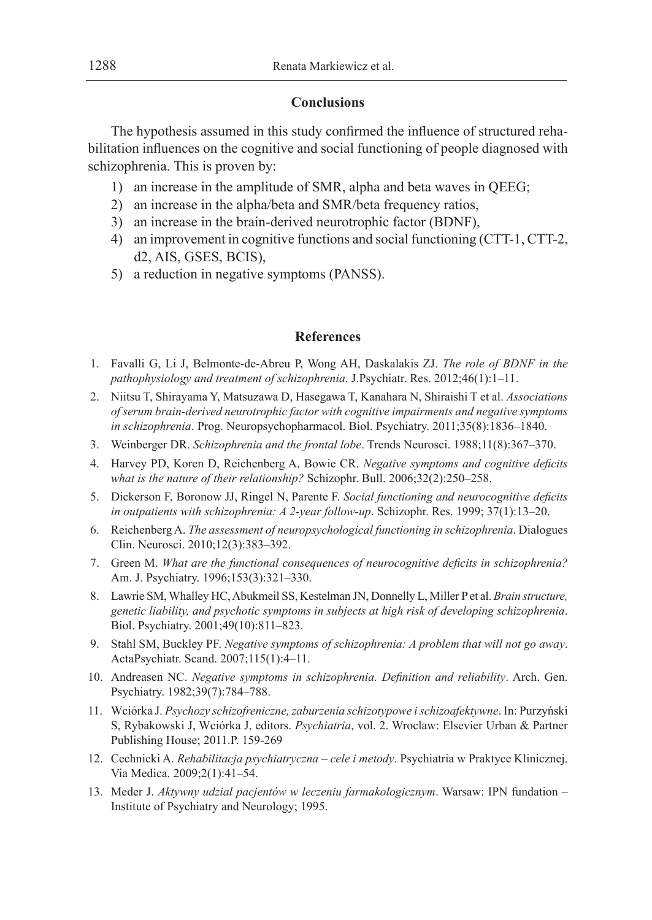## **Conclusions**

The hypothesis assumed in this study confirmed the influence of structured rehabilitation influences on the cognitive and social functioning of people diagnosed with schizophrenia. This is proven by:

- 1) an increase in the amplitude of SMR, alpha and beta waves in QEEG;
- 2) an increase in the alpha/beta and SMR/beta frequency ratios,
- 3) an increase in the brain-derived neurotrophic factor (BDNF),
- 4) an improvement in cognitive functions and social functioning (CTT-1, CTT-2, d2, AIS, GSES, BCIS),
- 5) a reduction in negative symptoms (PANSS).

# **References**

- 1. Favalli G, Li J, Belmonte-de-Abreu P, Wong AH, Daskalakis ZJ. *The role of BDNF in the pathophysiology and treatment of schizophrenia*. J.Psychiatr. Res. 2012;46(1):1–11.
- 2. Niitsu T, Shirayama Y, Matsuzawa D, Hasegawa T, Kanahara N, Shiraishi T et al. *Associations of serum brain-derived neurotrophic factor with cognitive impairments and negative symptoms in schizophrenia*. Prog. Neuropsychopharmacol. Biol. Psychiatry. 2011;35(8):1836–1840.
- 3. Weinberger DR. *Schizophrenia and the frontal lobe*. Trends Neurosci. 1988;11(8):367–370.
- 4. Harvey PD, Koren D, Reichenberg A, Bowie CR. *Negative symptoms and cognitive deficits what is the nature of their relationship?* Schizophr. Bull. 2006;32(2):250–258.
- 5. Dickerson F, Boronow JJ, Ringel N, Parente F. *Social functioning and neurocognitive deficits in outpatients with schizophrenia: A 2-year follow-up*. Schizophr. Res. 1999; 37(1):13–20.
- 6. Reichenberg A. *The assessment of neuropsychological functioning in schizophrenia*. Dialogues Clin. Neurosci. 2010;12(3):383–392.
- 7. Green M. *What are the functional consequences of neurocognitive deficits in schizophrenia?*  Am. J. Psychiatry. 1996;153(3):321–330.
- 8. Lawrie SM, Whalley HC, Abukmeil SS, Kestelman JN, Donnelly L, Miller P et al. *Brain structure, genetic liability, and psychotic symptoms in subjects at high risk of developing schizophrenia*. Biol. Psychiatry. 2001;49(10):811–823.
- 9. Stahl SM, Buckley PF. *Negative symptoms of schizophrenia: A problem that will not go away*. ActaPsychiatr. Scand. 2007;115(1):4–11.
- 10. Andreasen NC. *Negative symptoms in schizophrenia. Definition and reliability*. Arch. Gen. Psychiatry. 1982;39(7):784–788.
- 11. Wciórka J. *Psychozy schizofreniczne, zaburzenia schizotypowe i schizoafektywne*. In: Purzyński S, Rybakowski J, Wciórka J, editors. *Psychiatria*, vol. 2. Wroclaw: Elsevier Urban & Partner Publishing House; 2011.P. 159-269
- 12. Cechnicki A. *Rehabilitacja psychiatryczna cele i metody*. Psychiatria w Praktyce Klinicznej. Via Medica. 2009;2(1):41–54.
- 13. Meder J. *Aktywny udział pacjentów w leczeniu farmakologicznym*. Warsaw: IPN fundation Institute of Psychiatry and Neurology; 1995.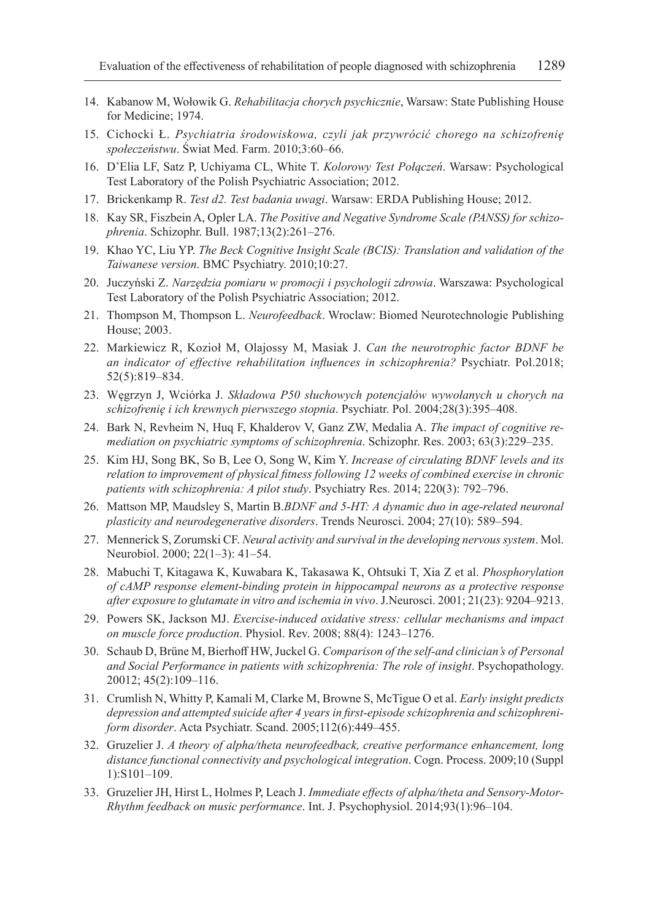- 14. Kabanow M, Wołowik G. *Rehabilitacja chorych psychicznie*, Warsaw: State Publishing House for Medicine; 1974.
- 15. Cichocki Ł. *Psychiatria środowiskowa, czyli jak przywrócić chorego na schizofrenię społeczeństwu*. Świat Med. Farm. 2010;3:60–66.
- 16. D'Elia LF, Satz P, Uchiyama CL, White T. *Kolorowy Test Połączeń*. Warsaw: Psychological Test Laboratory of the Polish Psychiatric Association; 2012.
- 17. Brickenkamp R. *Test d2. Test badania uwagi*. Warsaw: ERDA Publishing House; 2012.
- 18. Kay SR, Fiszbein A, Opler LA. *The Positive and Negative Syndrome Scale (PANSS) for schizophrenia*. Schizophr. Bull. 1987;13(2):261–276.
- 19. Khao YC, Liu YP. *The Beck Cognitive Insight Scale (BCIS): Translation and validation of the Taiwanese version*. BMC Psychiatry. 2010;10:27.
- 20. Juczyński Z. *Narzędzia pomiaru w promocji i psychologii zdrowia*. Warszawa: Psychological Test Laboratory of the Polish Psychiatric Association; 2012.
- 21. Thompson M, Thompson L. *Neurofeedback*. Wroclaw: Biomed Neurotechnologie Publishing House; 2003.
- 22. Markiewicz R, Kozioł M, Olajossy M, Masiak J. *Can the neurotrophic factor BDNF be an indicator of effective rehabilitation influences in schizophrenia?* Psychiatr. Pol.2018; 52(5):819–834.
- 23. Węgrzyn J, Wciórka J. *Składowa P50 słuchowych potencjałów wywołanych u chorych na schizofrenię i ich krewnych pierwszego stopnia*. Psychiatr. Pol. 2004;28(3):395–408.
- 24. Bark N, Revheim N, Huq F, Khalderov V, Ganz ZW, Medalia A. *The impact of cognitive remediation on psychiatric symptoms of schizophrenia*. Schizophr. Res. 2003; 63(3):229–235.
- 25. Kim HJ, Song BK, So B, Lee O, Song W, Kim Y. *Increase of circulating BDNF levels and its relation to improvement of physical fitness following 12 weeks of combined exercise in chronic patients with schizophrenia: A pilot study*. Psychiatry Res. 2014; 220(3): 792–796.
- 26. Mattson MP, Maudsley S, Martin B.*BDNF and 5-HT: A dynamic duo in age-related neuronal plasticity and neurodegenerative disorders*. Trends Neurosci. 2004; 27(10): 589–594.
- 27. Mennerick S, Zorumski CF. *Neural activity and survival in the developing nervous system*. Mol. Neurobiol. 2000; 22(1–3): 41–54.
- 28. Mabuchi T, Kitagawa K, Kuwabara K, Takasawa K, Ohtsuki T, Xia Z et al. *Phosphorylation of cAMP response element-binding protein in hippocampal neurons as a protective response after exposure to glutamate in vitro and ischemia in vivo*. J.Neurosci. 2001; 21(23): 9204–9213.
- 29. Powers SK, Jackson MJ. *Exercise-induced oxidative stress: cellular mechanisms and impact on muscle force production*. Physiol. Rev. 2008; 88(4): 1243–1276.
- 30. Schaub D, Brüne M, Bierhoff HW, Juckel G. *Comparison of the self-and clinician's of Personal and Social Performance in patients with schizophrenia: The role of insight*. Psychopathology. 20012; 45(2):109–116.
- 31. Crumlish N, Whitty P, Kamali M, Clarke M, Browne S, McTigue O et al. *Early insight predicts depression and attempted suicide after 4 years in first-episode schizophrenia and schizophreniform disorder*. Acta Psychiatr. Scand. 2005;112(6):449–455.
- 32. Gruzelier J. *A theory of alpha/theta neurofeedback, creative performance enhancement, long distance functional connectivity and psychological integration*. Cogn. Process. 2009;10 (Suppl 1):S101–109.
- 33. Gruzelier JH, Hirst L, Holmes P, Leach J. *Immediate effects of alpha/theta and Sensory-Motor-Rhythm feedback on music performance*. Int. J. Psychophysiol. 2014;93(1):96–104.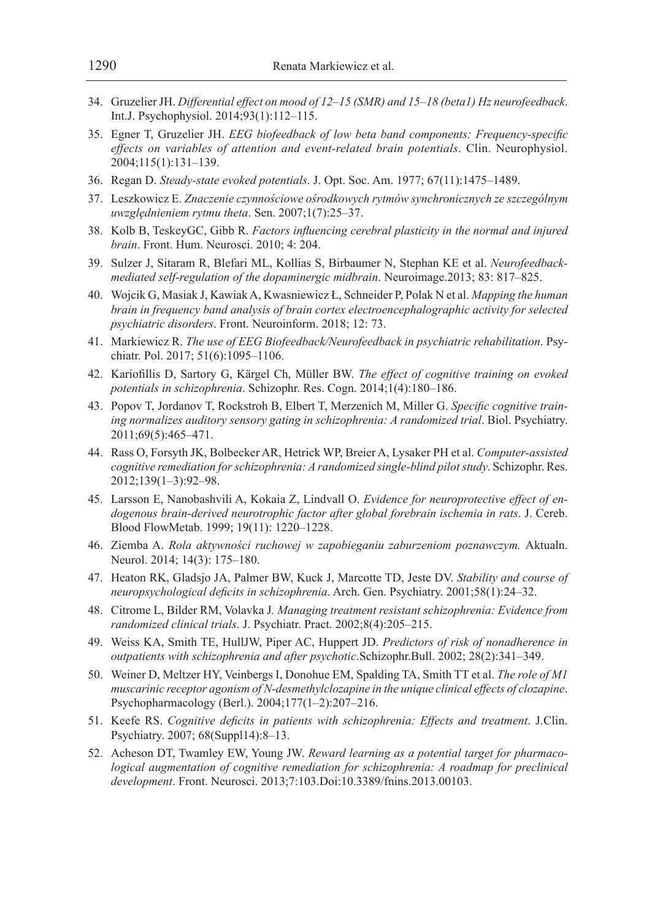- 34. Gruzelier JH. *Differential effect on mood of 12–15 (SMR) and 15–18 (beta1) Hz neurofeedback*. Int.J. Psychophysiol. 2014;93(1):112–115.
- 35. Egner T, Gruzelier JH. *EEG biofeedback of low beta band components: Frequency-specific effects on variables of attention and event-related brain potentials*. Clin. Neurophysiol. 2004;115(1):131–139.
- 36. Regan D. *Steady-state evoked potentials*. J. Opt. Soc. Am. 1977; 67(11):1475–1489.
- 37. Leszkowicz E. *Znaczenie czynnościowe ośrodkowych rytmów synchronicznych ze szczególnym uwzględnieniem rytmu theta*. Sen. 2007;1(7):25–37.
- 38. Kolb B, TeskeyGC, Gibb R. *Factors influencing cerebral plasticity in the normal and injured brain*. Front. Hum. Neurosci. 2010; 4: 204.
- 39. Sulzer J, Sitaram R, Blefari ML, Kollias S, Birbaumer N, Stephan KE et al. *Neurofeedbackmediated self-regulation of the dopaminergic midbrain*. Neuroimage.2013; 83: 817–825.
- 40. Wojcik G, Masiak J, Kawiak A, Kwasniewicz Ł, Schneider P, Polak N et al. *Mapping the human brain in frequency band analysis of brain cortex electroencephalographic activity for selected psychiatric disorders*. Front. Neuroinform. 2018; 12: 73.
- 41. Markiewicz R. *The use of EEG Biofeedback/Neurofeedback in psychiatric rehabilitation*. Psychiatr. Pol. 2017; 51(6):1095–1106.
- 42. Kariofillis D, Sartory G, Kärgel Ch, Müller BW. *The effect of cognitive training on evoked potentials in schizophrenia*. Schizophr. Res. Cogn. 2014;1(4):180–186.
- 43. Popov T, Jordanov T, Rockstroh B, Elbert T, Merzenich M, Miller G. *Specific cognitive training normalizes auditory sensory gating in schizophrenia: A randomized trial*. Biol. Psychiatry. 2011;69(5):465–471.
- 44. Rass O, Forsyth JK, Bolbecker AR, Hetrick WP, Breier A, Lysaker PH et al. *Computer-assisted cognitive remediation for schizophrenia: A randomized single-blind pilot study*. Schizophr. Res. 2012;139(1–3):92–98.
- 45. Larsson E, Nanobashvili A, Kokaia Z, Lindvall O. *Evidence for neuroprotective effect of endogenous brain-derived neurotrophic factor after global forebrain ischemia in rats*. J. Cereb. Blood FlowMetab. 1999; 19(11): 1220–1228.
- 46. Ziemba A. *Rola aktywności ruchowej w zapobieganiu zaburzeniom poznawczym.* Aktualn. Neurol. 2014; 14(3): 175–180.
- 47. Heaton RK, Gladsjo JA, Palmer BW, Kuck J, Marcotte TD, Jeste DV. *Stability and course of neuropsychological deficits in schizophrenia*. Arch. Gen. Psychiatry. 2001;58(1):24–32.
- 48. Citrome L, Bilder RM, Volavka J*. Managing treatment resistant schizophrenia: Evidence from randomized clinical trials*. J. Psychiatr. Pract. 2002;8(4):205–215.
- 49. Weiss KA, Smith TE, HullJW, Piper AC, Huppert JD. *Predictors of risk of nonadherence in outpatients with schizophrenia and after psychotic*.Schizophr.Bull. 2002; 28(2):341–349.
- 50. Weiner D, Meltzer HY, Veinbergs I, Donohue EM, Spalding TA, Smith TT et al. *The role of M1 muscarinic receptor agonism of N-desmethylclozapine in the unique clinical effects of clozapine*. Psychopharmacology (Berl.). 2004;177(1–2):207–216.
- 51. Keefe RS. *Cognitive deficits in patients with schizophrenia: Effects and treatment*. J.Clin. Psychiatry. 2007; 68(Suppl14):8–13.
- 52. Acheson DT, Twamley EW, Young JW. *Reward learning as a potential target for pharmacological augmentation of cognitive remediation for schizophrenia: A roadmap for preclinical development*. Front. Neurosci. 2013;7:103.Doi:10.3389/fnins.2013.00103.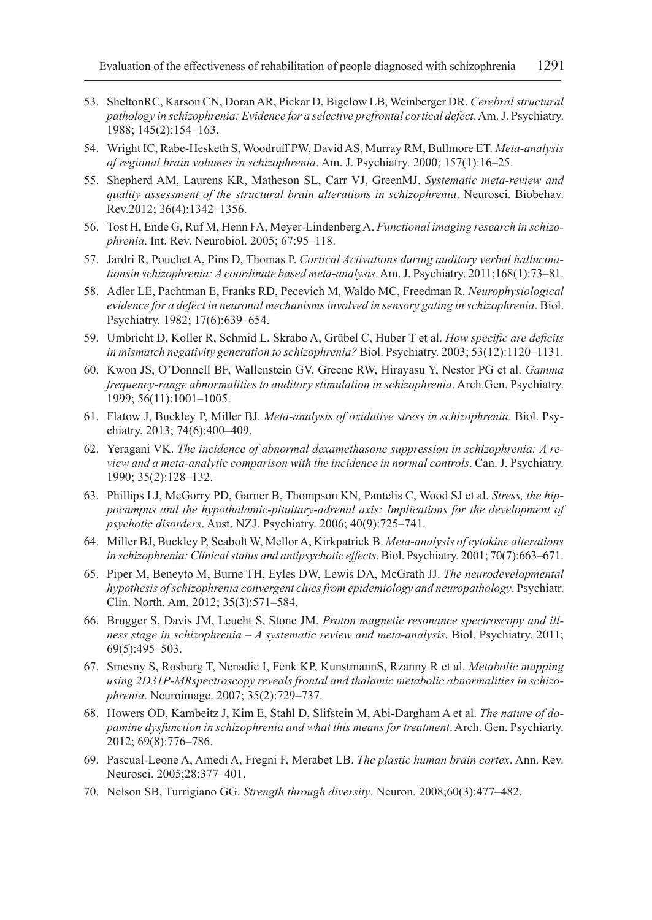- 53. SheltonRC, Karson CN, Doran AR, Pickar D, Bigelow LB, Weinberger DR. *Cerebral structural pathology in schizophrenia: Evidence for a selective prefrontal cortical defect*. Am. J. Psychiatry. 1988; 145(2):154–163.
- 54. Wright IC, Rabe-Hesketh S, Woodruff PW, David AS, Murray RM, Bullmore ET. *Meta-analysis of regional brain volumes in schizophrenia*. Am. J. Psychiatry. 2000; 157(1):16–25.
- 55. Shepherd AM, Laurens KR, Matheson SL, Carr VJ, GreenMJ. *Systematic meta-review and quality assessment of the structural brain alterations in schizophrenia*. Neurosci. Biobehav. Rev.2012; 36(4):1342–1356.
- 56. Tost H, Ende G, Ruf M, Henn FA, Meyer-Lindenberg A. *Functional imaging research in schizophrenia*. Int. Rev. Neurobiol. 2005; 67:95–118.
- 57. Jardri R, Pouchet A, Pins D, Thomas P. *Cortical Activations during auditory verbal hallucinationsin schizophrenia: A coordinate based meta-analysis*. Am. J. Psychiatry. 2011;168(1):73–81.
- 58. Adler LE, Pachtman E, Franks RD, Pecevich M, Waldo MC, Freedman R. *Neurophysiological evidence for a defect in neuronal mechanisms involved in sensory gating in schizophrenia*. Biol. Psychiatry. 1982; 17(6):639–654.
- 59. Umbricht D, Koller R, Schmid L, Skrabo A, Grübel C, Huber T et al. *How specific are deficits in mismatch negativity generation to schizophrenia?* Biol. Psychiatry. 2003; 53(12):1120–1131.
- 60. Kwon JS, O'Donnell BF, Wallenstein GV, Greene RW, Hirayasu Y, Nestor PG et al. *Gamma frequency-range abnormalities to auditory stimulation in schizophrenia*. Arch.Gen. Psychiatry. 1999; 56(11):1001–1005.
- 61. Flatow J, Buckley P, Miller BJ. *Meta-analysis of oxidative stress in schizophrenia*. Biol. Psychiatry. 2013; 74(6):400–409.
- 62. Yeragani VK. *The incidence of abnormal dexamethasone suppression in schizophrenia: A review and a meta-analytic comparison with the incidence in normal controls*. Can. J. Psychiatry. 1990; 35(2):128–132.
- 63. Phillips LJ, McGorry PD, Garner B, Thompson KN, Pantelis C, Wood SJ et al. *Stress, the hippocampus and the hypothalamic-pituitary-adrenal axis: Implications for the development of psychotic disorders*. Aust. NZJ. Psychiatry. 2006; 40(9):725–741.
- 64. Miller BJ, Buckley P, Seabolt W, Mellor A, Kirkpatrick B. *Meta-analysis of cytokine alterations in schizophrenia: Clinical status and antipsychotic effects*. Biol. Psychiatry. 2001; 70(7):663–671.
- 65. Piper M, Beneyto M, Burne TH, Eyles DW, Lewis DA, McGrath JJ. *The neurodevelopmental hypothesis of schizophrenia convergent clues from epidemiology and neuropathology*. Psychiatr. Clin. North. Am. 2012; 35(3):571–584.
- 66. Brugger S, Davis JM, Leucht S, Stone JM. *Proton magnetic resonance spectroscopy and illness stage in schizophrenia – A systematic review and meta-analysis*. Biol. Psychiatry. 2011; 69(5):495–503.
- 67. Smesny S, Rosburg T, Nenadic I, Fenk KP, KunstmannS, Rzanny R et al. *Metabolic mapping using 2D31P-MRspectroscopy reveals frontal and thalamic metabolic abnormalities in schizophrenia*. Neuroimage. 2007; 35(2):729–737.
- 68. Howers OD, Kambeitz J, Kim E, Stahl D, Slifstein M, Abi-Dargham A et al. *The nature of dopamine dysfunction in schizophrenia and what this means for treatment*. Arch. Gen. Psychiarty. 2012; 69(8):776–786.
- 69. Pascual-Leone A, Amedi A, Fregni F, Merabet LB. *The plastic human brain cortex*. Ann. Rev. Neurosci. 2005;28:377–401.
- 70. Nelson SB, Turrigiano GG. *Strength through diversity*. Neuron. 2008;60(3):477–482.